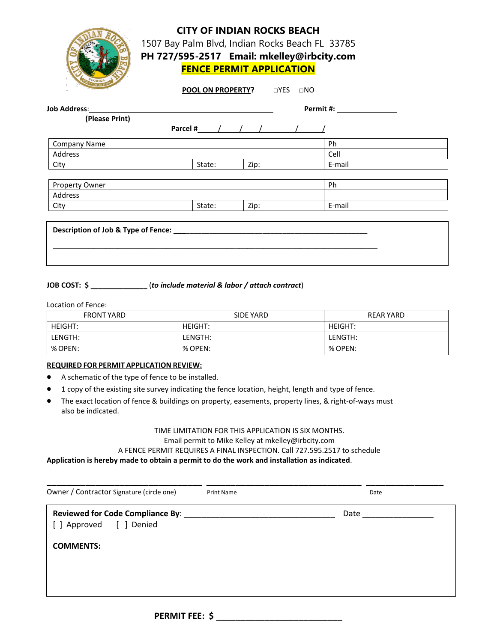|                     |        | <b>CITY OF INDIAN ROCKS BEACH</b><br><b>FENCE PERMIT APPLICATION</b><br><b>POOL ON PROPERTY?</b> UYES UNO | 1507 Bay Palm Blvd, Indian Rocks Beach FL 33785<br>PH 727/595-2517 Email: mkelley@irbcity.com |
|---------------------|--------|-----------------------------------------------------------------------------------------------------------|-----------------------------------------------------------------------------------------------|
| Job Address:        |        |                                                                                                           |                                                                                               |
| (Please Print)      |        |                                                                                                           |                                                                                               |
|                     |        |                                                                                                           |                                                                                               |
| <b>Company Name</b> |        |                                                                                                           | <b>Ph</b>                                                                                     |
| <b>Address</b>      |        |                                                                                                           | Cell                                                                                          |
| City                | State: | Zip:                                                                                                      | E-mail                                                                                        |
| Property Owner      |        |                                                                                                           | Ph                                                                                            |
| Address             |        |                                                                                                           |                                                                                               |
| City                | State: | Zip:                                                                                                      | E-mail                                                                                        |
|                     |        |                                                                                                           |                                                                                               |

## **JOB COST: \$ \_\_\_\_\_\_\_\_\_\_\_\_\_\_** (*to include material & labor / attach contract*)

Location of Fence:

| <b>FRONT YARD</b> | SIDE YARD      | REAR YARD      |
|-------------------|----------------|----------------|
| <b>HEIGHT:</b>    | <b>HEIGHT:</b> | <b>HEIGHT:</b> |
| LENGTH:           | LENGTH:        | LENGTH:        |
| % OPEN:           | % OPEN:        | % OPEN:        |

#### **REQUIRED FOR PERMIT APPLICATION REVIEW:**

- A schematic of the type of fence to be installed.
- 1 copy of the existing site survey indicating the fence location, height, length and type of fence.
- The exact location of fence & buildings on property, easements, property lines, & right-of-ways must also be indicated.

# TIME LIMITATION FOR THIS APPLICATION IS SIX MONTHS.

## Email permit to Mike Kelley at mkelley@irbcity.com

A FENCE PERMIT REQUIRES A FINAL INSPECTION. Call 727.595.2517 to schedule

**Application is hereby made to obtain a permit to do the work and installation as indicated**.

| Date |  |
|------|--|
| Date |  |
|      |  |